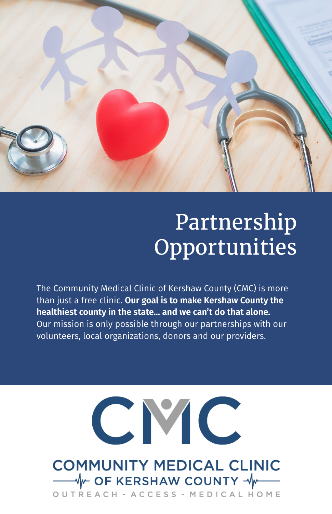

# Partnership **Opportunities**

The Community Medical Clinic of Kershaw County (CMC) is more than just a free clinic. **Our goal is to make Kershaw County the healthiest county in the state... and we can't do that alone.** Our mission is only possible through our partnerships with our volunteers, local organizations, donors and our providers.

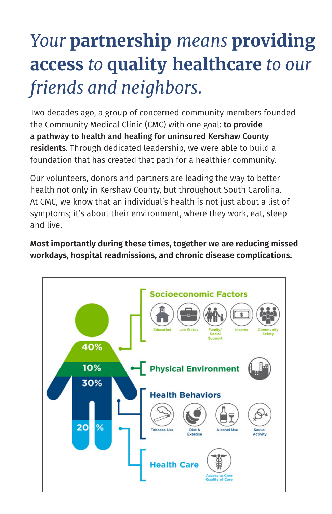# *Your* **partnership** *means* **providing access** *to* **quality healthcare** *to our friends and neighbors.*

Two decades ago, a group of concerned community members founded the Community Medical Clinic (CMC) with one goal: to provide a pathway to health and healing for uninsured Kershaw County residents. Through dedicated leadership, we were able to build a foundation that has created that path for a healthier community.

Our volunteers, donors and partners are leading the way to better health not only in Kershaw County, but throughout South Carolina. At CMC, we know that an individual's health is not just about a list of symptoms; it's about their environment, where they work, eat, sleep and live.

**Most importantly during these times, together we are reducing missed workdays, hospital readmissions, and chronic disease complications.** 

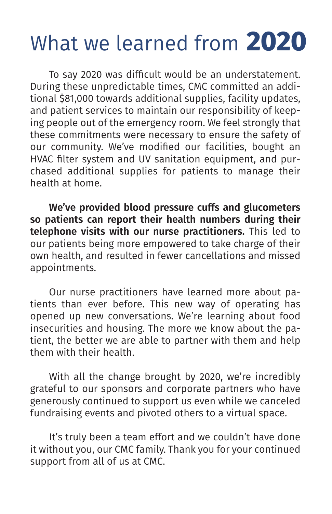# What we learned from **2020**

To say 2020 was difficult would be an understatement. During these unpredictable times, CMC committed an additional \$81,000 towards additional supplies, facility updates, and patient services to maintain our responsibility of keeping people out of the emergency room. We feel strongly that these commitments were necessary to ensure the safety of our community. We've modified our facilities, bought an HVAC filter system and UV sanitation equipment, and purchased additional supplies for patients to manage their health at home.

**We've provided blood pressure cuffs and glucometers so patients can report their health numbers during their telephone visits with our nurse practitioners.** This led to our patients being more empowered to take charge of their own health, and resulted in fewer cancellations and missed appointments.

Our nurse practitioners have learned more about patients than ever before. This new way of operating has opened up new conversations. We're learning about food insecurities and housing. The more we know about the patient, the better we are able to partner with them and help them with their health.

With all the change brought by 2020, we're incredibly grateful to our sponsors and corporate partners who have generously continued to support us even while we canceled fundraising events and pivoted others to a virtual space.

It's truly been a team effort and we couldn't have done it without you, our CMC family. Thank you for your continued support from all of us at CMC.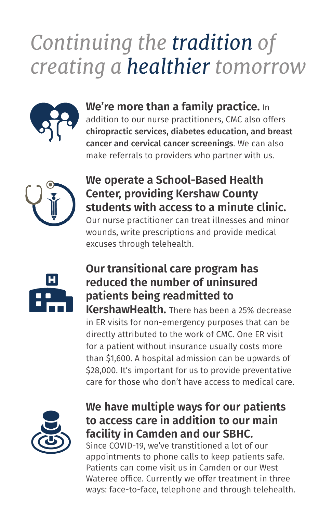# *Continuing the tradition of creating a healthier tomorrow*



#### **We're more than a family practice.** In

addition to our nurse practitioners, CMC also offers chiropractic services, diabetes education, and breast cancer and cervical cancer screenings. We can also make referrals to providers who partner with us.



#### **We operate a School-Based Health Center, providing Kershaw County students with access to a minute clinic.**

Our nurse practitioner can treat illnesses and minor wounds, write prescriptions and provide medical excuses through telehealth.



### **Our transitional care program has reduced the number of uninsured patients being readmitted to**

**KershawHealth.** There has been a 25% decrease in ER visits for non-emergency purposes that can be directly attributed to the work of CMC. One ER visit for a patient without insurance usually costs more than \$1,600. A hospital admission can be upwards of \$28,000. It's important for us to provide preventative care for those who don't have access to medical care.



### **We have multiple ways for our patients to access care in addition to our main facility in Camden and our SBHC.**

Since COVID-19, we've transtitioned a lot of our appointments to phone calls to keep patients safe. Patients can come visit us in Camden or our West Wateree office. Currently we offer treatment in three ways: face-to-face, telephone and through telehealth.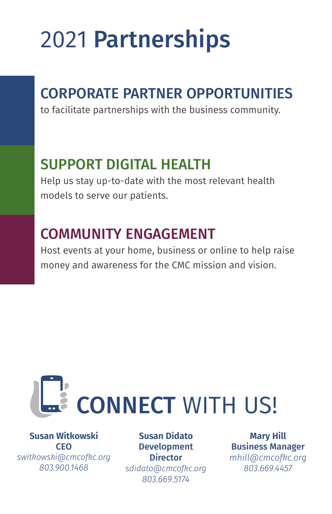# 2021 Partnerships

### CORPORATE PARTNER OPPORTUNITIES

to facilitate partnerships with the business community.

### SUPPORT DIGITAL HEALTH

Help us stay up-to-date with the most relevant health models to serve our patients.

### COMMUNITY ENGAGEMENT

Host events at your home, business or online to help raise money and awareness for the CMC mission and vision.



**Susan Witkowski** CEO *switkowski@cmcofkc.org 803.900.1468* 

**Susan Didato** Development **Director** *sdidato@cmcofkc.org 803.669.5174* 

**Mary Hill** Business Manager *mhill@cmcofkc.org 803.669.4457*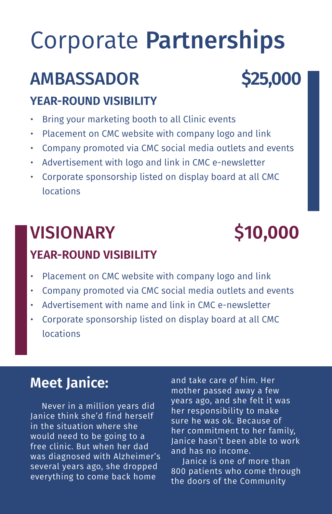# Corporate Partnerships

### AMBASSADOR **\$25,000**

#### **YEAR-ROUND VISIBILITY**

- Bring your marketing booth to all Clinic events
- Placement on CMC website with company logo and link
- Company promoted via CMC social media outlets and events
- Advertisement with logo and link in CMC e-newsletter
- Corporate sponsorship listed on display board at all CMC locations

## VISIONARY \$**10,000**

### **YEAR-ROUND VISIBILITY**

- Placement on CMC website with company logo and link
- Company promoted via CMC social media outlets and events
- Advertisement with name and link in CMC e-newsletter
- Corporate sponsorship listed on display board at all CMC locations

### **Meet Janice:**

Never in a million years did Janice think she'd find herself in the situation where she would need to be going to a free clinic. But when her dad was diagnosed with Alzheimer's several years ago, she dropped everything to come back home

and take care of him. Her mother passed away a few years ago, and she felt it was her responsibility to make sure he was ok. Because of her commitment to her family, Janice hasn't been able to work and has no income.

Janice is one of more than 800 patients who come through the doors of the Community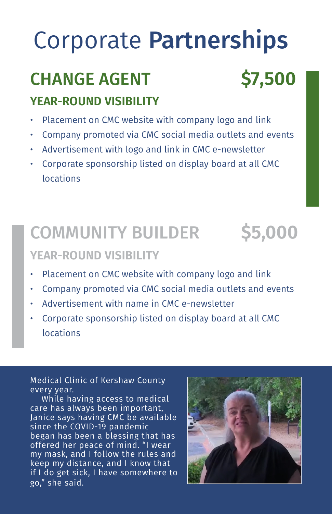# Corporate Partnerships

## CHANGE AGENT **\$7,500**

### **YEAR-ROUND VISIBILITY**

- Placement on CMC website with company logo and link
- Company promoted via CMC social media outlets and events
- Advertisement with logo and link in CMC e-newsletter
- Corporate sponsorship listed on display board at all CMC locations

### COMMUNITY BUILDER **\$5,000**

#### **YEAR-ROUND VISIBILITY**

- Placement on CMC website with company logo and link
- Company promoted via CMC social media outlets and events
- Advertisement with name in CMC e-newsletter
- Corporate sponsorship listed on display board at all CMC locations

Medical Clinic of Kershaw County every year.

While having access to medical care has always been important, Janice says having CMC be available since the COVID-19 pandemic began has been a blessing that has offered her peace of mind. "I wear my mask, and I follow the rules and keep my distance, and I know that if I do get sick, I have somewhere to go," she said.

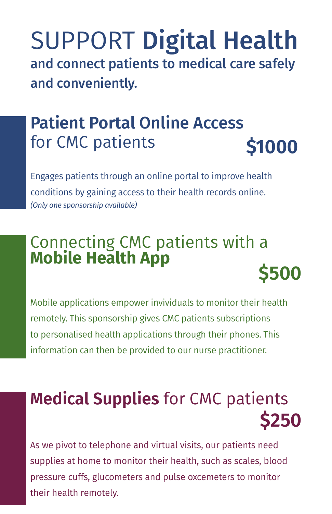SUPPORT Digital Health and connect patients to medical care safely and conveniently.

### **Patient Portal** Online Access for CMC patients **\$1000**

Engages patients through an online portal to improve health conditions by gaining access to their health records online. *(Only one sponsorship available)*

# Connecting CMC patients with a **Mobile Health App \$500**

Mobile applications empower invividuals to monitor their health remotely. This sponsorship gives CMC patients subscriptions to personalised health applications through their phones. This information can then be provided to our nurse practitioner.

## **Medical Supplies** for CMC patients **\$250**

As we pivot to telephone and virtual visits, our patients need supplies at home to monitor their health, such as scales, blood pressure cuffs, glucometers and pulse oxcemeters to monitor their health remotely.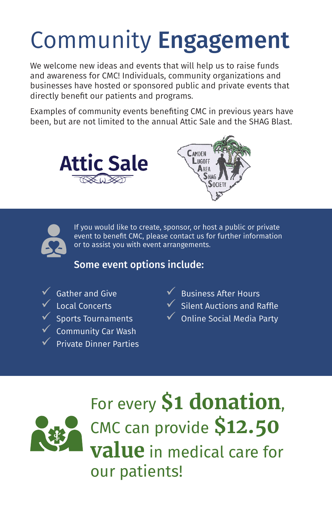# Community Engagement

We welcome new ideas and events that will help us to raise funds and awareness for CMC! Individuals, community organizations and businesses have hosted or sponsored public and private events that directly benefit our patients and programs.

Examples of community events benefiting CMC in previous years have been, but are not limited to the annual Attic Sale and the SHAG Blast.







If you would like to create, sponsor, or host a public or private event to benefit CMC, please contact us for further information or to assist you with event arrangements.

#### Some event options include:

**Gather and Give Local Concerts** 9 Sports Tournaments 9 Community Car Wash 9 Private Dinner Parties  $\sqrt{\phantom{a}}$  Business After Hours 9 Silent Auctions and Raffle

 $\checkmark$  Online Social Media Party



For every **\$1 donation**, CMC can provide **\$12.50 value** in medical care for our patients!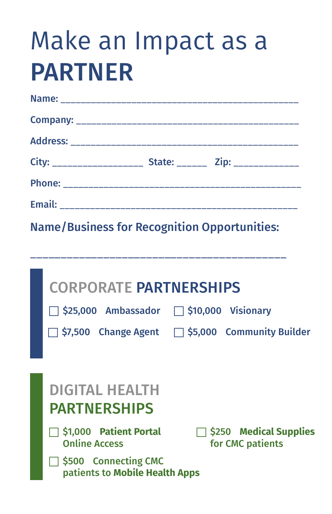# Make an Impact as a PARTNER

| City: ______________________ State: ________ Zip: ________________ |  |
|--------------------------------------------------------------------|--|
|                                                                    |  |
|                                                                    |  |

Name/Business for Recognition Opportunities:

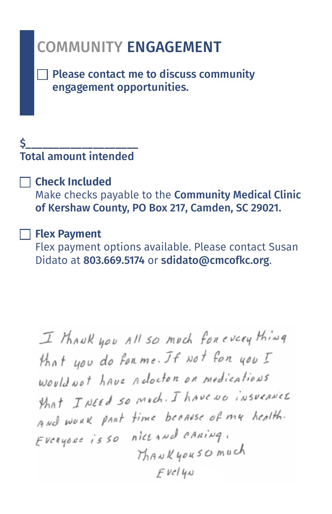### COMMUNITY ENGAGEMENT

 $\Box$  Please contact me to discuss community engagement opportunities.

#### \$\_\_\_\_\_\_\_\_\_\_\_\_\_\_\_\_\_\_\_\_ Total amount intended

#### **Check Included**

Make checks payable to the Community Medical Clinic of Kershaw County, PO Box 217, Camden, SC 29021.

#### **Flex Payment**

Flex payment options available. Please contact Susan Didato at 803.669.5174 or sdidato@cmcofkc.org.